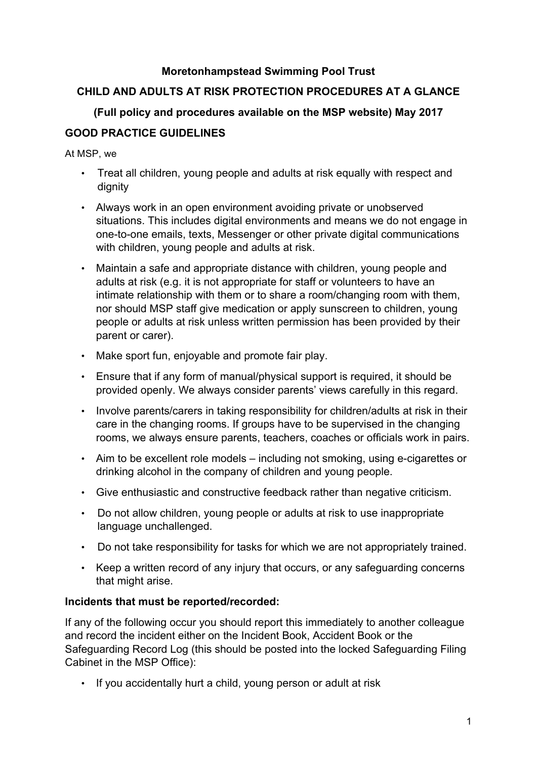### **Moretonhampstead Swimming Pool Trust**

# **CHILD AND ADULTS AT RISK PROTECTION PROCEDURES AT A GLANCE**

## **(Full policy and procedures available on the MSP website) May 2017**

## **GOOD PRACTICE GUIDELINES**

At MSP, we

- Treat all children, young people and adults at risk equally with respect and dignity
- Always work in an open environment avoiding private or unobserved situations. This includes digital environments and means we do not engage in one-to-one emails, texts, Messenger or other private digital communications with children, young people and adults at risk.
- Maintain a safe and appropriate distance with children, young people and adults at risk (e.g. it is not appropriate for staff or volunteers to have an intimate relationship with them or to share a room/changing room with them, nor should MSP staff give medication or apply sunscreen to children, young people or adults at risk unless written permission has been provided by their parent or carer).
- Make sport fun, enjoyable and promote fair play.
- Ensure that if any form of manual/physical support is required, it should be provided openly. We always consider parents' views carefully in this regard.
- Involve parents/carers in taking responsibility for children/adults at risk in their care in the changing rooms. If groups have to be supervised in the changing rooms, we always ensure parents, teachers, coaches or officials work in pairs.
- Aim to be excellent role models including not smoking, using e-cigarettes or drinking alcohol in the company of children and young people.
- Give enthusiastic and constructive feedback rather than negative criticism.
- Do not allow children, young people or adults at risk to use inappropriate language unchallenged.
- Do not take responsibility for tasks for which we are not appropriately trained.
- Keep a written record of any injury that occurs, or any safeguarding concerns that might arise.

#### **Incidents that must be reported/recorded:**

If any of the following occur you should report this immediately to another colleague and record the incident either on the Incident Book, Accident Book or the Safeguarding Record Log (this should be posted into the locked Safeguarding Filing Cabinet in the MSP Office):

• If you accidentally hurt a child, young person or adult at risk